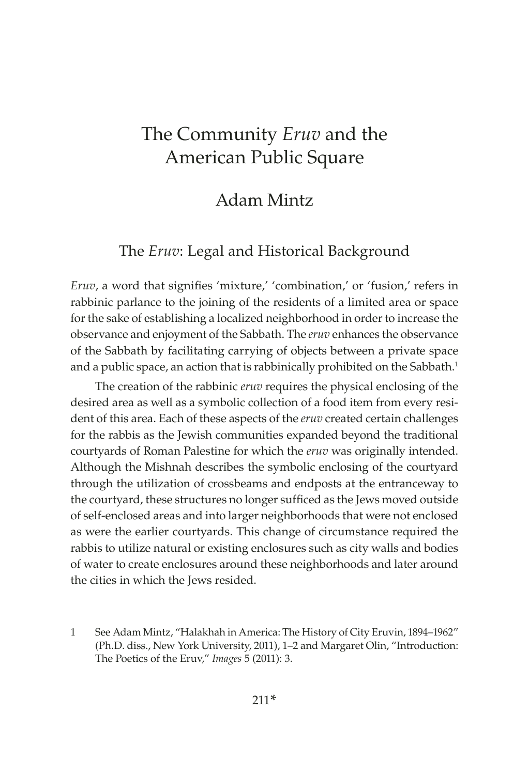## Adam Mintz

### The *Eruv*: Legal and Historical Background

*Eruv*, a word that signifies 'mixture,' 'combination,' or 'fusion,' refers in rabbinic parlance to the joining of the residents of a limited area or space for the sake of establishing a localized neighborhood in order to increase the observance and enjoyment of the Sabbath. The *eruv* enhances the observance of the Sabbath by facilitating carrying of objects between a private space and a public space, an action that is rabbinically prohibited on the Sabbath.<sup>1</sup>

The creation of the rabbinic *eruv* requires the physical enclosing of the desired area as well as a symbolic collection of a food item from every resident of this area. Each of these aspects of the *eruv* created certain challenges for the rabbis as the Jewish communities expanded beyond the traditional courtyards of Roman Palestine for which the *eruv* was originally intended. Although the Mishnah describes the symbolic enclosing of the courtyard through the utilization of crossbeams and endposts at the entranceway to the courtyard, these structures no longer sufficed as the Jews moved outside of self-enclosed areas and into larger neighborhoods that were not enclosed as were the earlier courtyards. This change of circumstance required the rabbis to utilize natural or existing enclosures such as city walls and bodies of water to create enclosures around these neighborhoods and later around the cities in which the Jews resided.

<sup>1</sup> See Adam Mintz, "Halakhah in America: The History of City Eruvin, 1894–1962" (Ph.D. diss., New York University, 2011), 1–2 and Margaret Olin, "Introduction: The Poetics of the Eruv," *Images* 5 (2011): 3.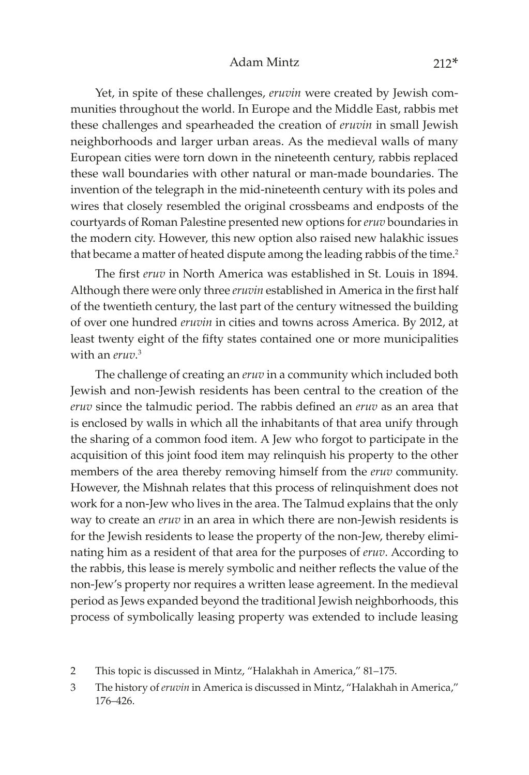#### Adam Mintz 212\*

Yet, in spite of these challenges, *eruvin* were created by Jewish communities throughout the world. In Europe and the Middle East, rabbis met these challenges and spearheaded the creation of *eruvin* in small Jewish neighborhoods and larger urban areas. As the medieval walls of many European cities were torn down in the nineteenth century, rabbis replaced these wall boundaries with other natural or man-made boundaries. The invention of the telegraph in the mid-nineteenth century with its poles and wires that closely resembled the original crossbeams and endposts of the courtyards of Roman Palestine presented new options for *eruv* boundaries in the modern city. However, this new option also raised new halakhic issues that became a matter of heated dispute among the leading rabbis of the time.<sup>2</sup>

The first *eruv* in North America was established in St. Louis in 1894. Although there were only three *eruvin* established in America in the first half of the twentieth century, the last part of the century witnessed the building of over one hundred *eruvin* in cities and towns across America. By 2012, at least twenty eight of the fifty states contained one or more municipalities with an *eruv*. 3

The challenge of creating an *eruv* in a community which included both Jewish and non-Jewish residents has been central to the creation of the *eruv* since the talmudic period. The rabbis defined an *eruv* as an area that is enclosed by walls in which all the inhabitants of that area unify through the sharing of a common food item. A Jew who forgot to participate in the acquisition of this joint food item may relinquish his property to the other members of the area thereby removing himself from the *eruv* community. However, the Mishnah relates that this process of relinquishment does not work for a non-Jew who lives in the area. The Talmud explains that the only way to create an *eruv* in an area in which there are non-Jewish residents is for the Jewish residents to lease the property of the non-Jew, thereby eliminating him as a resident of that area for the purposes of *eruv*. According to the rabbis, this lease is merely symbolic and neither reflects the value of the non-Jew's property nor requires a written lease agreement. In the medieval period as Jews expanded beyond the traditional Jewish neighborhoods, this process of symbolically leasing property was extended to include leasing

- 2 This topic is discussed in Mintz, "Halakhah in America," 81–175.
- 3 The history of *eruvin* in America is discussed in Mintz, "Halakhah in America," 176–426.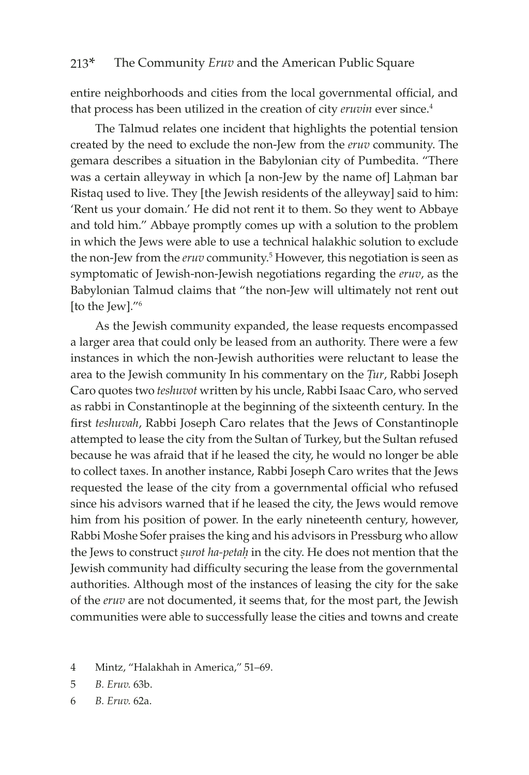entire neighborhoods and cities from the local governmental official, and that process has been utilized in the creation of city *eruvin* ever since.4

The Talmud relates one incident that highlights the potential tension created by the need to exclude the non-Jew from the *eruv* community. The gemara describes a situation in the Babylonian city of Pumbedita. "There was a certain alleyway in which [a non-Jew by the name of] Lahman bar Ristaq used to live. They [the Jewish residents of the alleyway] said to him: 'Rent us your domain.' He did not rent it to them. So they went to Abbaye and told him." Abbaye promptly comes up with a solution to the problem in which the Jews were able to use a technical halakhic solution to exclude the non-Jew from the *eruv* community.<sup>5</sup> However, this negotiation is seen as symptomatic of Jewish-non-Jewish negotiations regarding the *eruv*, as the Babylonian Talmud claims that "the non-Jew will ultimately not rent out [to the Jew]."6

As the Jewish community expanded, the lease requests encompassed a larger area that could only be leased from an authority. There were a few instances in which the non-Jewish authorities were reluctant to lease the area to the Jewish community In his commentary on the *Tur*, Rabbi Joseph Caro quotes two *teshuvot* written by his uncle, Rabbi Isaac Caro, who served as rabbi in Constantinople at the beginning of the sixteenth century. In the first *teshuvah*, Rabbi Joseph Caro relates that the Jews of Constantinople attempted to lease the city from the Sultan of Turkey, but the Sultan refused because he was afraid that if he leased the city, he would no longer be able to collect taxes. In another instance, Rabbi Joseph Caro writes that the Jews requested the lease of the city from a governmental official who refused since his advisors warned that if he leased the city, the Jews would remove him from his position of power. In the early nineteenth century, however, Rabbi Moshe Sofer praises the king and his advisors in Pressburg who allow the Jews to construct *surot ha-petah* in the city. He does not mention that the Jewish community had difficulty securing the lease from the governmental authorities. Although most of the instances of leasing the city for the sake of the *eruv* are not documented, it seems that, for the most part, the Jewish communities were able to successfully lease the cities and towns and create

- 4 Mintz, "Halakhah in America," 51–69.
- 5 *B. Eruv.* 63b.
- 6 *B. Eruv.* 62a.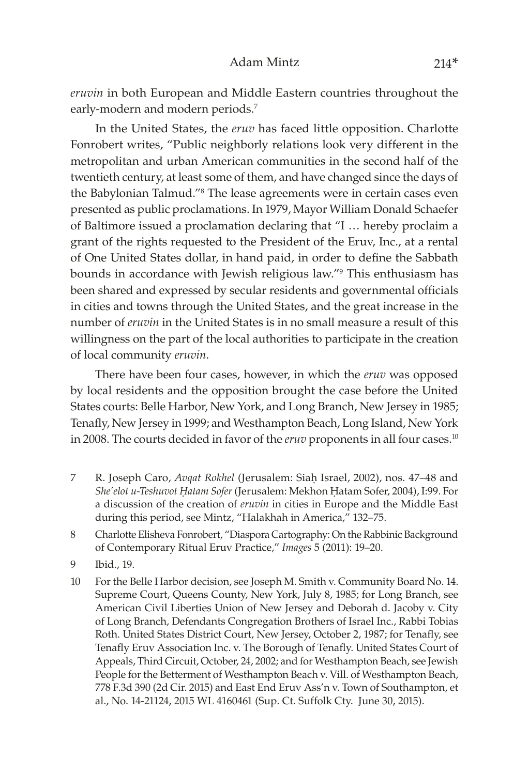*eruvin* in both European and Middle Eastern countries throughout the early-modern and modern periods.<sup>7</sup>

In the United States, the *eruv* has faced little opposition. Charlotte Fonrobert writes, "Public neighborly relations look very different in the metropolitan and urban American communities in the second half of the twentieth century, at least some of them, and have changed since the days of the Babylonian Talmud."8 The lease agreements were in certain cases even presented as public proclamations. In 1979, Mayor William Donald Schaefer of Baltimore issued a proclamation declaring that "I … hereby proclaim a grant of the rights requested to the President of the Eruv, Inc., at a rental of One United States dollar, in hand paid, in order to define the Sabbath bounds in accordance with Jewish religious law."9 This enthusiasm has been shared and expressed by secular residents and governmental officials in cities and towns through the United States, and the great increase in the number of *eruvin* in the United States is in no small measure a result of this willingness on the part of the local authorities to participate in the creation of local community *eruvin*.

There have been four cases, however, in which the *eruv* was opposed by local residents and the opposition brought the case before the United States courts: Belle Harbor, New York, and Long Branch, New Jersey in 1985; Tenafly, New Jersey in 1999; and Westhampton Beach, Long Island, New York in 2008. The courts decided in favor of the *eruv* proponents in all four cases.<sup>10</sup>

- 7 R. Joseph Caro, *Avqat Rokhel* (Jerusalem: Siaḥ Israel, 2002), nos. 47-48 and *She'elot u-Teshuvot Êatam Sofer* (Jerusalem: Mekhon Êatam Sofer, 2004), I:99. For a discussion of the creation of *eruvin* in cities in Europe and the Middle East during this period, see Mintz, "Halakhah in America," 132–75.
- 8 Charlotte Elisheva Fonrobert, "Diaspora Cartography: On the Rabbinic Background of Contemporary Ritual Eruv Practice," *Images* 5 (2011): 19–20.
- 9 Ibid., 19.
- 10 For the Belle Harbor decision, see Joseph M. Smith v. Community Board No. 14. Supreme Court, Queens County, New York, July 8, 1985; for Long Branch, see American Civil Liberties Union of New Jersey and Deborah d. Jacoby v. City of Long Branch, Defendants Congregation Brothers of Israel Inc., Rabbi Tobias Roth. United States District Court, New Jersey, October 2, 1987; for Tenafly, see Tenafly Eruv Association Inc. v. The Borough of Tenafly. United States Court of Appeals, Third Circuit, October, 24, 2002; and for Westhampton Beach, see Jewish People for the Betterment of Westhampton Beach v. Vill. of Westhampton Beach, 778 F.3d 390 (2d Cir. 2015) and East End Eruv Ass'n v. Town of Southampton, et al., No. 14-21124, 2015 WL 4160461 (Sup. Ct. Suffolk Cty. June 30, 2015).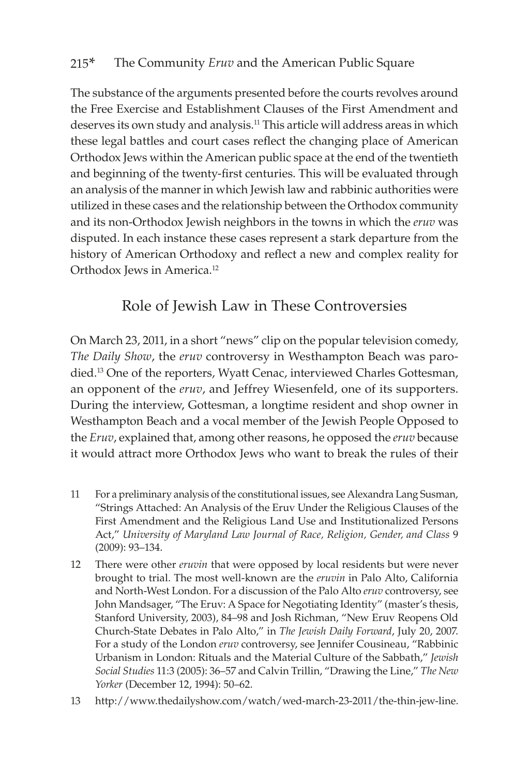The substance of the arguments presented before the courts revolves around the Free Exercise and Establishment Clauses of the First Amendment and deserves its own study and analysis.11 This article will address areas in which these legal battles and court cases reflect the changing place of American Orthodox Jews within the American public space at the end of the twentieth and beginning of the twenty-first centuries. This will be evaluated through an analysis of the manner in which Jewish law and rabbinic authorities were utilized in these cases and the relationship between the Orthodox community and its non-Orthodox Jewish neighbors in the towns in which the *eruv* was disputed. In each instance these cases represent a stark departure from the history of American Orthodoxy and reflect a new and complex reality for Orthodox Jews in America.<sup>12</sup>

## Role of Jewish Law in These Controversies

On March 23, 2011, in a short "news" clip on the popular television comedy, *The Daily Show*, the *eruv* controversy in Westhampton Beach was parodied.13 One of the reporters, Wyatt Cenac, interviewed Charles Gottesman, an opponent of the *eruv*, and Jeffrey Wiesenfeld, one of its supporters. During the interview, Gottesman, a longtime resident and shop owner in Westhampton Beach and a vocal member of the Jewish People Opposed to the *Eruv*, explained that, among other reasons, he opposed the *eruv* because it would attract more Orthodox Jews who want to break the rules of their

- 11 For a preliminary analysis of the constitutional issues, see Alexandra Lang Susman, "Strings Attached: An Analysis of the Eruv Under the Religious Clauses of the First Amendment and the Religious Land Use and Institutionalized Persons Act," *University of Maryland Law Journal of Race, Religion, Gender, and Class* 9 (2009): 93–134.
- 12 There were other *eruvin* that were opposed by local residents but were never brought to trial. The most well-known are the *eruvin* in Palo Alto, California and North-West London. For a discussion of the Palo Alto *eruv* controversy, see John Mandsager, "The Eruv: A Space for Negotiating Identity" (master's thesis, Stanford University, 2003), 84–98 and Josh Richman, "New Eruv Reopens Old Church-State Debates in Palo Alto," in *The Jewish Daily Forward*, July 20, 2007. For a study of the London *eruv* controversy, see Jennifer Cousineau, "Rabbinic Urbanism in London: Rituals and the Material Culture of the Sabbath," *Jewish Social Studies* 11:3 (2005): 36–57 and Calvin Trillin, "Drawing the Line," *The New Yorker* (December 12, 1994): 50–62.
- 13 http://www.thedailyshow.com/watch/wed-march-23-2011/the-thin-jew-line.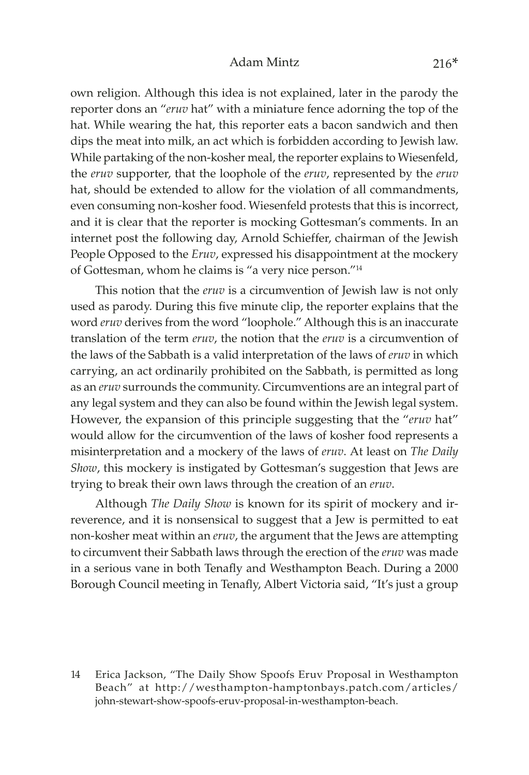#### Adam Mintz 216\*

own religion. Although this idea is not explained, later in the parody the reporter dons an "*eruv* hat" with a miniature fence adorning the top of the hat. While wearing the hat, this reporter eats a bacon sandwich and then dips the meat into milk, an act which is forbidden according to Jewish law. While partaking of the non-kosher meal, the reporter explains to Wiesenfeld, the *eruv* supporter, that the loophole of the *eruv*, represented by the *eruv* hat, should be extended to allow for the violation of all commandments, even consuming non-kosher food. Wiesenfeld protests that this is incorrect, and it is clear that the reporter is mocking Gottesman's comments. In an internet post the following day, Arnold Schieffer, chairman of the Jewish People Opposed to the *Eruv*, expressed his disappointment at the mockery of Gottesman, whom he claims is "a very nice person."14

This notion that the *eruv* is a circumvention of Jewish law is not only used as parody. During this five minute clip, the reporter explains that the word *eruv* derives from the word "loophole." Although this is an inaccurate translation of the term *eruv*, the notion that the *eruv* is a circumvention of the laws of the Sabbath is a valid interpretation of the laws of *eruv* in which carrying, an act ordinarily prohibited on the Sabbath, is permitted as long as an *eruv* surrounds the community. Circumventions are an integral part of any legal system and they can also be found within the Jewish legal system. However, the expansion of this principle suggesting that the "*eruv* hat" would allow for the circumvention of the laws of kosher food represents a misinterpretation and a mockery of the laws of *eruv*. At least on *The Daily Show*, this mockery is instigated by Gottesman's suggestion that Jews are trying to break their own laws through the creation of an *eruv*.

Although *The Daily Show* is known for its spirit of mockery and irreverence, and it is nonsensical to suggest that a Jew is permitted to eat non-kosher meat within an *eruv*, the argument that the Jews are attempting to circumvent their Sabbath laws through the erection of the *eruv* was made in a serious vane in both Tenafly and Westhampton Beach. During a 2000 Borough Council meeting in Tenafly, Albert Victoria said, "It's just a group

14 Erica Jackson, "The Daily Show Spoofs Eruv Proposal in Westhampton Beach" at http://westhampton-hamptonbays.patch.com/articles/ john-stewart-show-spoofs-eruv-proposal-in-westhampton-beach.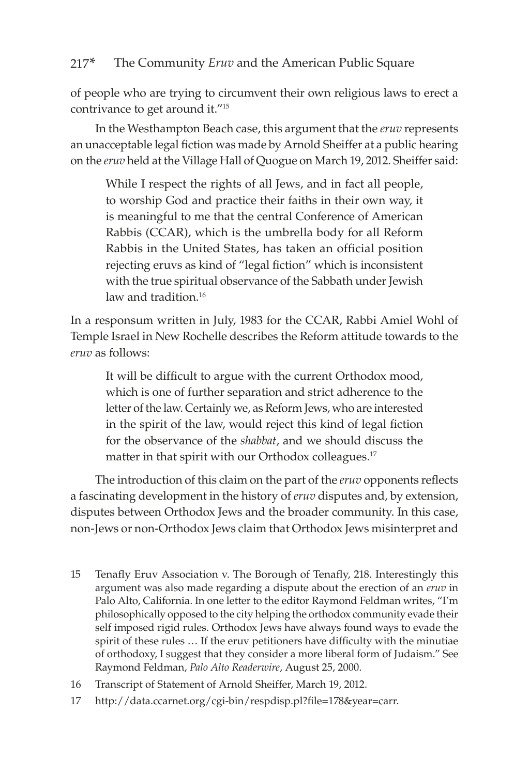of people who are trying to circumvent their own religious laws to erect a contrivance to get around it."<sup>15</sup>

In the Westhampton Beach case, this argument that the *eruv* represents an unacceptable legal fiction was made by Arnold Sheiffer at a public hearing on the *eruv* held at the Village Hall of Quogue on March 19, 2012. Sheiffer said:

While I respect the rights of all Jews, and in fact all people, to worship God and practice their faiths in their own way, it is meaningful to me that the central Conference of American Rabbis (CCAR), which is the umbrella body for all Reform Rabbis in the United States, has taken an official position rejecting eruvs as kind of "legal fiction" which is inconsistent with the true spiritual observance of the Sabbath under Jewish law and tradition.<sup>16</sup>

In a responsum written in July, 1983 for the CCAR, Rabbi Amiel Wohl of Temple Israel in New Rochelle describes the Reform attitude towards to the *eruv* as follows:

It will be difficult to argue with the current Orthodox mood, which is one of further separation and strict adherence to the letter of the law. Certainly we, as Reform Jews, who are interested in the spirit of the law, would reject this kind of legal fiction for the observance of the *shabbat*, and we should discuss the matter in that spirit with our Orthodox colleagues.<sup>17</sup>

The introduction of this claim on the part of the *eruv* opponents reflects a fascinating development in the history of *eruv* disputes and, by extension, disputes between Orthodox Jews and the broader community. In this case, non-Jews or non-Orthodox Jews claim that Orthodox Jews misinterpret and

- 15 Tenafly Eruv Association v. The Borough of Tenafly, 218. Interestingly this argument was also made regarding a dispute about the erection of an *eruv* in Palo Alto, California. In one letter to the editor Raymond Feldman writes, "I'm philosophically opposed to the city helping the orthodox community evade their self imposed rigid rules. Orthodox Jews have always found ways to evade the spirit of these rules … If the eruv petitioners have difficulty with the minutiae of orthodoxy, I suggest that they consider a more liberal form of Judaism." See Raymond Feldman, *Palo Alto Readerwire*, August 25, 2000.
- 16 Transcript of Statement of Arnold Sheiffer, March 19, 2012.
- 17 http://data.ccarnet.org/cgi-bin/respdisp.pl?file=178&year=carr.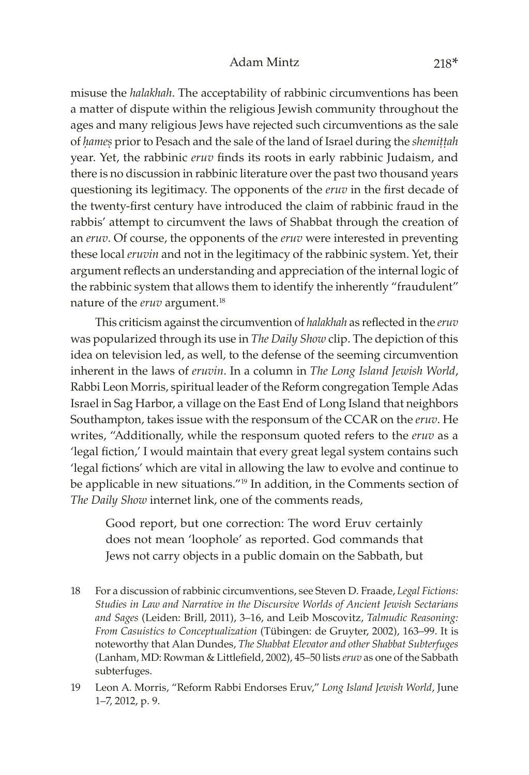### Adam Mintz 218\*

misuse the *halakhah*. The acceptability of rabbinic circumventions has been a matter of dispute within the religious Jewish community throughout the ages and many religious Jews have rejected such circumventions as the sale of *hames* prior to Pesach and the sale of the land of Israel during the *shemittah* year. Yet, the rabbinic *eruv* finds its roots in early rabbinic Judaism, and there is no discussion in rabbinic literature over the past two thousand years questioning its legitimacy. The opponents of the *eruv* in the first decade of the twenty-first century have introduced the claim of rabbinic fraud in the rabbis' attempt to circumvent the laws of Shabbat through the creation of an *eruv*. Of course, the opponents of the *eruv* were interested in preventing these local *eruvin* and not in the legitimacy of the rabbinic system. Yet, their argument reflects an understanding and appreciation of the internal logic of the rabbinic system that allows them to identify the inherently "fraudulent" nature of the *eruv* argument.18

This criticism against the circumvention of *halakhah* as reflected in the *eruv* was popularized through its use in *The Daily Show* clip. The depiction of this idea on television led, as well, to the defense of the seeming circumvention inherent in the laws of *eruvin*. In a column in *The Long Island Jewish World*, Rabbi Leon Morris, spiritual leader of the Reform congregation Temple Adas Israel in Sag Harbor, a village on the East End of Long Island that neighbors Southampton, takes issue with the responsum of the CCAR on the *eruv*. He writes, "Additionally, while the responsum quoted refers to the *eruv* as a 'legal fiction,' I would maintain that every great legal system contains such 'legal fictions' which are vital in allowing the law to evolve and continue to be applicable in new situations."19 In addition, in the Comments section of *The Daily Show* internet link, one of the comments reads,

Good report, but one correction: The word Eruv certainly does not mean 'loophole' as reported. God commands that Jews not carry objects in a public domain on the Sabbath, but

- 18 For a discussion of rabbinic circumventions, see Steven D. Fraade, *Legal Fictions: Studies in Law and Narrative in the Discursive Worlds of Ancient Jewish Sectarians and Sages* (Leiden: Brill, 2011), 3–16, and Leib Moscovitz, *Talmudic Reasoning: From Casuistics to Conceptualization* (Tübingen: de Gruyter, 2002), 163–99. It is noteworthy that Alan Dundes, *The Shabbat Elevator and other Shabbat Subterfuges*  (Lanham, MD: Rowman & Littlefield, 2002), 45–50 lists *eruv* as one of the Sabbath subterfuges.
- 19 Leon A. Morris, "Reform Rabbi Endorses Eruv," *Long Island Jewish World*, June 1–7, 2012, p. 9.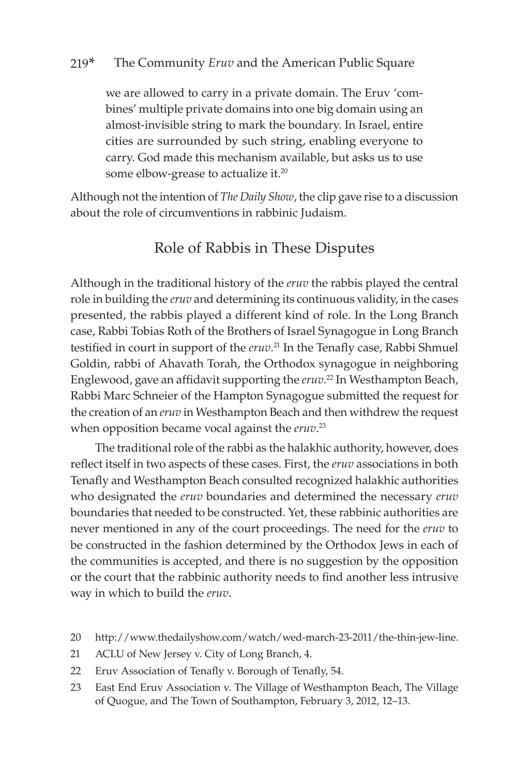we are allowed to carry in a private domain. The Eruv 'combines' multiple private domains into one big domain using an almost-invisible string to mark the boundary. In Israel, entire cities are surrounded by such string, enabling everyone to carry. God made this mechanism available, but asks us to use some elbow-grease to actualize it.<sup>20</sup>

Although not the intention of *The Daily Show*, the clip gave rise to a discussion about the role of circumventions in rabbinic Judaism.

### Role of Rabbis in These Disputes

Although in the traditional history of the *eruv* the rabbis played the central role in building the *eruv* and determining its continuous validity, in the cases presented, the rabbis played a different kind of role. In the Long Branch case, Rabbi Tobias Roth of the Brothers of Israel Synagogue in Long Branch testified in court in support of the *eruv*. <sup>21</sup> In the Tenafly case, Rabbi Shmuel Goldin, rabbi of Ahavath Torah, the Orthodox synagogue in neighboring Englewood, gave an affidavit supporting the *eruv*. <sup>22</sup> In Westhampton Beach, Rabbi Marc Schneier of the Hampton Synagogue submitted the request for the creation of an *eruv* in Westhampton Beach and then withdrew the request when opposition became vocal against the *eruv*. 23

The traditional role of the rabbi as the halakhic authority, however, does reflect itself in two aspects of these cases. First, the *eruv* associations in both Tenafly and Westhampton Beach consulted recognized halakhic authorities who designated the *eruv* boundaries and determined the necessary *eruv*  boundaries that needed to be constructed. Yet, these rabbinic authorities are never mentioned in any of the court proceedings. The need for the *eruv* to be constructed in the fashion determined by the Orthodox Jews in each of the communities is accepted, and there is no suggestion by the opposition or the court that the rabbinic authority needs to find another less intrusive way in which to build the *eruv*.

- 20 http://www.thedailyshow.com/watch/wed-march-23-2011/the-thin-jew-line.
- 21 ACLU of New Jersey v. City of Long Branch, 4.
- 22 Eruv Association of Tenafly v. Borough of Tenafly, 54.
- 23 East End Eruv Association v. The Village of Westhampton Beach, The Village of Quogue, and The Town of Southampton, February 3, 2012, 12–13.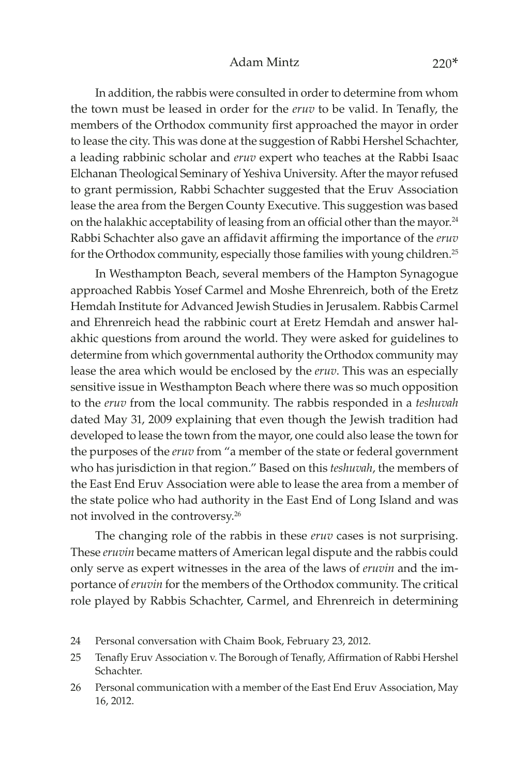#### Adam Mintz 220<sup>\*</sup>

In addition, the rabbis were consulted in order to determine from whom the town must be leased in order for the *eruv* to be valid. In Tenafly, the members of the Orthodox community first approached the mayor in order to lease the city. This was done at the suggestion of Rabbi Hershel Schachter, a leading rabbinic scholar and *eruv* expert who teaches at the Rabbi Isaac Elchanan Theological Seminary of Yeshiva University. After the mayor refused to grant permission, Rabbi Schachter suggested that the Eruv Association lease the area from the Bergen County Executive. This suggestion was based on the halakhic acceptability of leasing from an official other than the mayor.<sup>24</sup> Rabbi Schachter also gave an affidavit affirming the importance of the *eruv* for the Orthodox community, especially those families with young children.<sup>25</sup>

In Westhampton Beach, several members of the Hampton Synagogue approached Rabbis Yosef Carmel and Moshe Ehrenreich, both of the Eretz Hemdah Institute for Advanced Jewish Studies in Jerusalem. Rabbis Carmel and Ehrenreich head the rabbinic court at Eretz Hemdah and answer halakhic questions from around the world. They were asked for guidelines to determine from which governmental authority the Orthodox community may lease the area which would be enclosed by the *eruv*. This was an especially sensitive issue in Westhampton Beach where there was so much opposition to the *eruv* from the local community. The rabbis responded in a *teshuvah* dated May 31, 2009 explaining that even though the Jewish tradition had developed to lease the town from the mayor, one could also lease the town for the purposes of the *eruv* from "a member of the state or federal government who has jurisdiction in that region." Based on this *teshuvah*, the members of the East End Eruv Association were able to lease the area from a member of the state police who had authority in the East End of Long Island and was not involved in the controversy.26

The changing role of the rabbis in these *eruv* cases is not surprising. These *eruvin* became matters of American legal dispute and the rabbis could only serve as expert witnesses in the area of the laws of *eruvin* and the importance of *eruvin* for the members of the Orthodox community. The critical role played by Rabbis Schachter, Carmel, and Ehrenreich in determining

- 24 Personal conversation with Chaim Book, February 23, 2012.
- 25 Tenafly Eruv Association v. The Borough of Tenafly, Affirmation of Rabbi Hershel Schachter.
- 26 Personal communication with a member of the East End Eruv Association, May 16, 2012.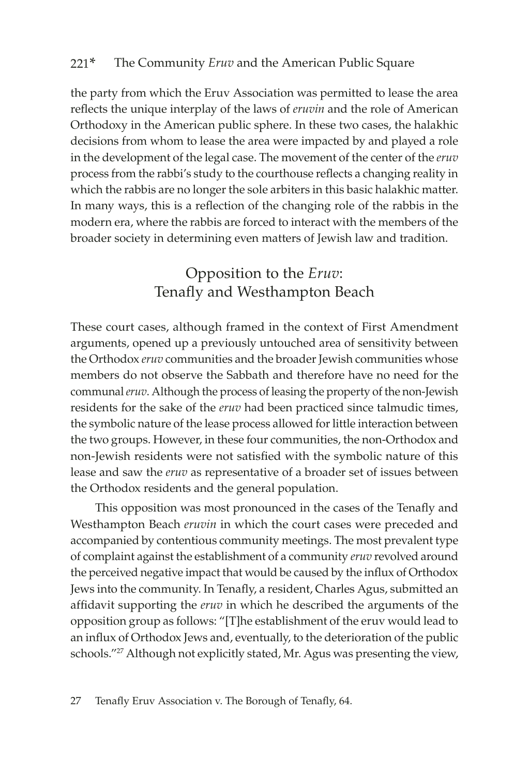the party from which the Eruv Association was permitted to lease the area reflects the unique interplay of the laws of *eruvin* and the role of American Orthodoxy in the American public sphere. In these two cases, the halakhic decisions from whom to lease the area were impacted by and played a role in the development of the legal case. The movement of the center of the *eruv* process from the rabbi's study to the courthouse reflects a changing reality in which the rabbis are no longer the sole arbiters in this basic halakhic matter. In many ways, this is a reflection of the changing role of the rabbis in the modern era, where the rabbis are forced to interact with the members of the broader society in determining even matters of Jewish law and tradition.

## Opposition to the *Eruv*: Tenafly and Westhampton Beach

These court cases, although framed in the context of First Amendment arguments, opened up a previously untouched area of sensitivity between the Orthodox *eruv* communities and the broader Jewish communities whose members do not observe the Sabbath and therefore have no need for the communal *eruv*. Although the process of leasing the property of the non-Jewish residents for the sake of the *eruv* had been practiced since talmudic times, the symbolic nature of the lease process allowed for little interaction between the two groups. However, in these four communities, the non-Orthodox and non-Jewish residents were not satisfied with the symbolic nature of this lease and saw the *eruv* as representative of a broader set of issues between the Orthodox residents and the general population.

This opposition was most pronounced in the cases of the Tenafly and Westhampton Beach *eruvin* in which the court cases were preceded and accompanied by contentious community meetings. The most prevalent type of complaint against the establishment of a community *eruv* revolved around the perceived negative impact that would be caused by the influx of Orthodox Jews into the community. In Tenafly, a resident, Charles Agus, submitted an affidavit supporting the *eruv* in which he described the arguments of the opposition group as follows: "[T]he establishment of the eruv would lead to an influx of Orthodox Jews and, eventually, to the deterioration of the public schools."<sup>27</sup> Although not explicitly stated, Mr. Agus was presenting the view,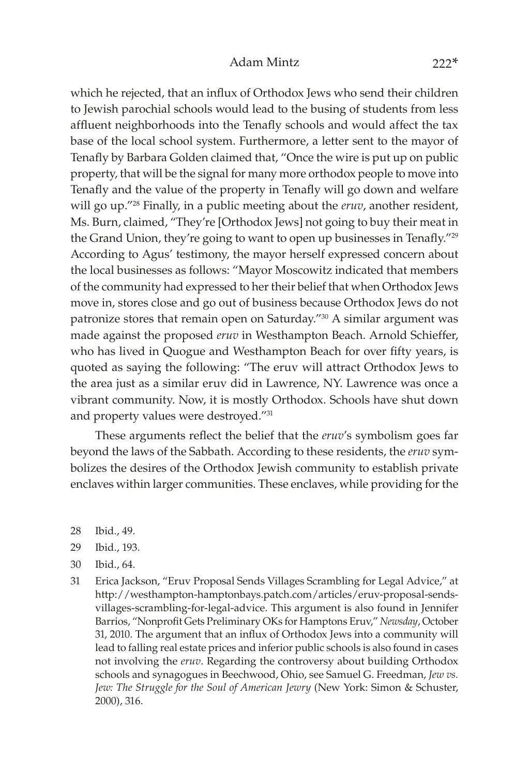### Adam Mintz 222\*

which he rejected, that an influx of Orthodox Jews who send their children to Jewish parochial schools would lead to the busing of students from less affluent neighborhoods into the Tenafly schools and would affect the tax base of the local school system. Furthermore, a letter sent to the mayor of Tenafly by Barbara Golden claimed that, "Once the wire is put up on public property, that will be the signal for many more orthodox people to move into Tenafly and the value of the property in Tenafly will go down and welfare will go up."28 Finally, in a public meeting about the *eruv*, another resident, Ms. Burn, claimed, "They're [Orthodox Jews] not going to buy their meat in the Grand Union, they're going to want to open up businesses in Tenafly."<sup>29</sup> According to Agus' testimony, the mayor herself expressed concern about the local businesses as follows: "Mayor Moscowitz indicated that members of the community had expressed to her their belief that when Orthodox Jews move in, stores close and go out of business because Orthodox Jews do not patronize stores that remain open on Saturday."30 A similar argument was made against the proposed *eruv* in Westhampton Beach. Arnold Schieffer, who has lived in Quogue and Westhampton Beach for over fifty years, is quoted as saying the following: "The eruv will attract Orthodox Jews to the area just as a similar eruv did in Lawrence, NY. Lawrence was once a vibrant community. Now, it is mostly Orthodox. Schools have shut down and property values were destroyed."31

These arguments reflect the belief that the *eruv*'s symbolism goes far beyond the laws of the Sabbath. According to these residents, the *eruv* symbolizes the desires of the Orthodox Jewish community to establish private enclaves within larger communities. These enclaves, while providing for the

- 28 Ibid., 49.
- 29 Ibid., 193.
- 30 Ibid., 64.
- 31 Erica Jackson, "Eruv Proposal Sends Villages Scrambling for Legal Advice," at http://westhampton-hamptonbays.patch.[com/articles/eruv-proposal-sends](http://westhampton-hamptonbays.patch.com/articles/eruv-proposal-sends-villages-scrambling-for-legal-advice)[villages-scrambling-](http://westhampton-hamptonbays.patch.com/articles/eruv-proposal-sends-villages-scrambling-for-legal-advice)for-legal-advice. This argument is also found in Jennifer Barrios, "Nonprofit Gets Preliminary OKs for Hamptons Eruv," *Newsday*, October 31, 2010. The argument that an influx of Orthodox Jews into a community will lead to falling real estate prices and inferior public schools is also found in cases not involving the *eruv*. Regarding the controversy about building Orthodox schools and synagogues in Beechwood, Ohio, see Samuel G. Freedman, *Jew vs. Jew: The Struggle for the Soul of American Jewry* (New York: Simon & Schuster, 2000), 316.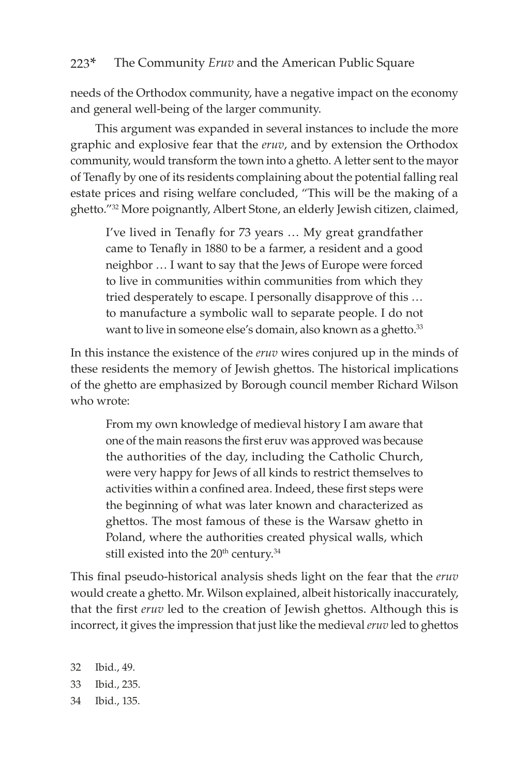needs of the Orthodox community, have a negative impact on the economy and general well-being of the larger community.

This argument was expanded in several instances to include the more graphic and explosive fear that the *eruv*, and by extension the Orthodox community, would transform the town into a ghetto. A letter sent to the mayor of Tenafly by one of its residents complaining about the potential falling real estate prices and rising welfare concluded, "This will be the making of a ghetto."32 More poignantly, Albert Stone, an elderly Jewish citizen, claimed,

I've lived in Tenafly for 73 years … My great grandfather came to Tenafly in 1880 to be a farmer, a resident and a good neighbor … I want to say that the Jews of Europe were forced to live in communities within communities from which they tried desperately to escape. I personally disapprove of this … to manufacture a symbolic wall to separate people. I do not want to live in someone else's domain, also known as a ghetto.<sup>33</sup>

In this instance the existence of the *eruv* wires conjured up in the minds of these residents the memory of Jewish ghettos. The historical implications of the ghetto are emphasized by Borough council member Richard Wilson who wrote:

From my own knowledge of medieval history I am aware that one of the main reasons the first eruv was approved was because the authorities of the day, including the Catholic Church, were very happy for Jews of all kinds to restrict themselves to activities within a confined area. Indeed, these first steps were the beginning of what was later known and characterized as ghettos. The most famous of these is the Warsaw ghetto in Poland, where the authorities created physical walls, which still existed into the 20<sup>th</sup> century.<sup>34</sup>

This final pseudo-historical analysis sheds light on the fear that the *eruv* would create a ghetto. Mr. Wilson explained, albeit historically inaccurately, that the first *eruv* led to the creation of Jewish ghettos. Although this is incorrect, it gives the impression that just like the medieval *eruv* led to ghettos

32 Ibid., 49. 33 Ibid., 235. 34 Ibid., 135.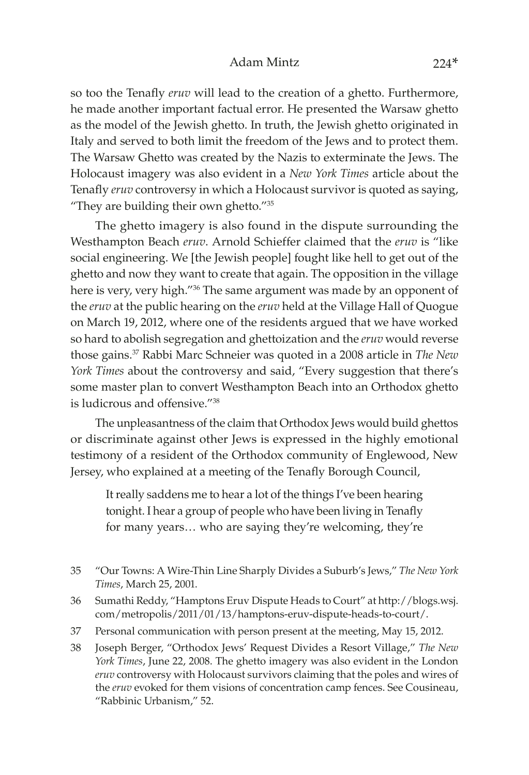#### Adam Mintz 224\*

so too the Tenafly *eruv* will lead to the creation of a ghetto. Furthermore, he made another important factual error. He presented the Warsaw ghetto as the model of the Jewish ghetto. In truth, the Jewish ghetto originated in Italy and served to both limit the freedom of the Jews and to protect them. The Warsaw Ghetto was created by the Nazis to exterminate the Jews. The Holocaust imagery was also evident in a *New York Times* article about the Tenafly *eruv* controversy in which a Holocaust survivor is quoted as saying, "They are building their own ghetto."35

The ghetto imagery is also found in the dispute surrounding the Westhampton Beach *eruv*. Arnold Schieffer claimed that the *eruv* is "like social engineering. We [the Jewish people] fought like hell to get out of the ghetto and now they want to create that again. The opposition in the village here is very, very high."<sup>36</sup> The same argument was made by an opponent of the *eruv* at the public hearing on the *eruv* held at the Village Hall of Quogue on March 19, 2012, where one of the residents argued that we have worked so hard to abolish segregation and ghettoization and the *eruv* would reverse those gains.37 Rabbi Marc Schneier was quoted in a 2008 article in *The New York Times* about the controversy and said, "Every suggestion that there's some master plan to convert Westhampton Beach into an Orthodox ghetto is ludicrous and offensive."38

The unpleasantness of the claim that Orthodox Jews would build ghettos or discriminate against other Jews is expressed in the highly emotional testimony of a resident of the Orthodox community of Englewood, New Jersey, who explained at a meeting of the Tenafly Borough Council,

It really saddens me to hear a lot of the things I've been hearing tonight. I hear a group of people who have been living in Tenafly for many years… who are saying they're welcoming, they're

- 36 Sumathi Reddy, "Hamptons Eruv Dispute Heads to Court" at [http://blogs](http://blogs.wsj.com/metropolis/2011/01/13/hamptons-eruv-dispute-heads-to-court/).wsj. com/metropolis/2011/01/13[/hamptons-eruv-dispute-heads-to-court/](http://blogs.wsj.com/metropolis/2011/01/13/hamptons-eruv-dispute-heads-to-court/).
- 37 Personal communication with person present at the meeting, May 15, 2012.
- 38 Joseph Berger, "Orthodox Jews' Request Divides a Resort Village," *The New York Times*, June 22, 2008. The ghetto imagery was also evident in the London *eruv* controversy with Holocaust survivors claiming that the poles and wires of the *eruv* evoked for them visions of concentration camp fences. See Cousineau, "Rabbinic Urbanism," 52.

<sup>35</sup> "Our Towns: A Wire-Thin Line Sharply Divides a Suburb's Jews," *The New York Times*, March 25, 2001.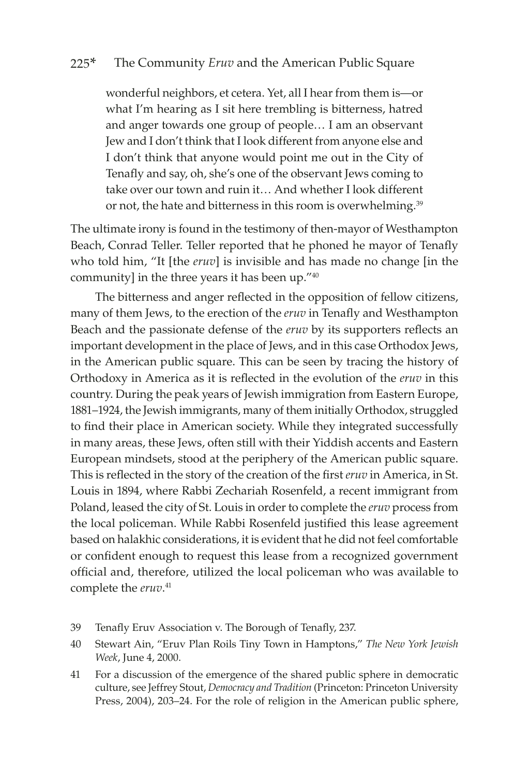wonderful neighbors, et cetera. Yet, all I hear from them is—or what I'm hearing as I sit here trembling is bitterness, hatred and anger towards one group of people… I am an observant Jew and I don't think that I look different from anyone else and I don't think that anyone would point me out in the City of Tenafly and say, oh, she's one of the observant Jews coming to take over our town and ruin it… And whether I look different or not, the hate and bitterness in this room is overwhelming.<sup>39</sup>

The ultimate irony is found in the testimony of then-mayor of Westhampton Beach, Conrad Teller. Teller reported that he phoned he mayor of Tenafly who told him, "It [the *eruv*] is invisible and has made no change [in the community] in the three years it has been up."40

The bitterness and anger reflected in the opposition of fellow citizens, many of them Jews, to the erection of the *eruv* in Tenafly and Westhampton Beach and the passionate defense of the *eruv* by its supporters reflects an important development in the place of Jews, and in this case Orthodox Jews, in the American public square. This can be seen by tracing the history of Orthodoxy in America as it is reflected in the evolution of the *eruv* in this country. During the peak years of Jewish immigration from Eastern Europe, 1881–1924, the Jewish immigrants, many of them initially Orthodox, struggled to find their place in American society. While they integrated successfully in many areas, these Jews, often still with their Yiddish accents and Eastern European mindsets, stood at the periphery of the American public square. This is reflected in the story of the creation of the first *eruv* in America, in St. Louis in 1894, where Rabbi Zechariah Rosenfeld, a recent immigrant from Poland, leased the city of St. Louis in order to complete the *eruv* process from the local policeman. While Rabbi Rosenfeld justified this lease agreement based on halakhic considerations, it is evident that he did not feel comfortable or confident enough to request this lease from a recognized government official and, therefore, utilized the local policeman who was available to complete the *eruv*. 41

- 39 Tenafly Eruv Association v. The Borough of Tenafly, 237.
- 40 Stewart Ain, "Eruv Plan Roils Tiny Town in Hamptons," *The New York Jewish Week*, June 4, 2000.
- 41 For a discussion of the emergence of the shared public sphere in democratic culture, see Jeffrey Stout, *Democracy and Tradition* (Princeton: Princeton University Press, 2004), 203–24. For the role of religion in the American public sphere,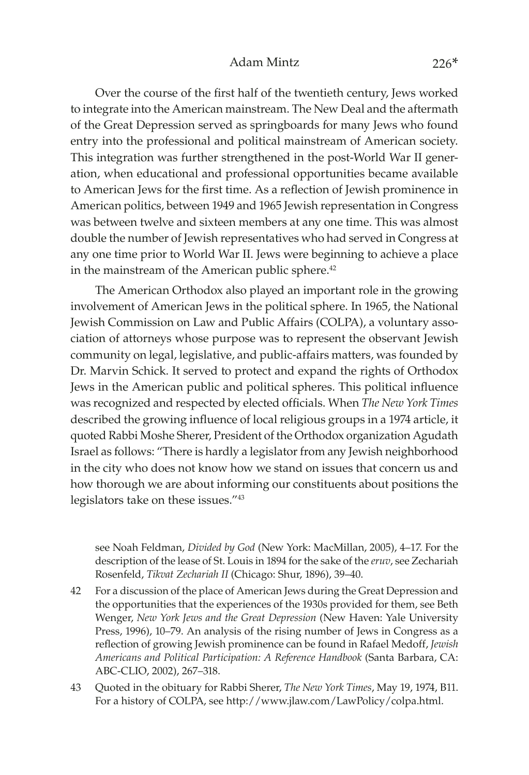### Adam Mintz 226\*

Over the course of the first half of the twentieth century, Jews worked to integrate into the American mainstream. The New Deal and the aftermath of the Great Depression served as springboards for many Jews who found entry into the professional and political mainstream of American society. This integration was further strengthened in the post-World War II generation, when educational and professional opportunities became available to American Jews for the first time. As a reflection of Jewish prominence in American politics, between 1949 and 1965 Jewish representation in Congress was between twelve and sixteen members at any one time. This was almost double the number of Jewish representatives who had served in Congress at any one time prior to World War II. Jews were beginning to achieve a place in the mainstream of the American public sphere.<sup>42</sup>

The American Orthodox also played an important role in the growing involvement of American Jews in the political sphere. In 1965, the National Jewish Commission on Law and Public Affairs (COLPA), a voluntary association of attorneys whose purpose was to represent the observant Jewish community on legal, legislative, and public-affairs matters, was founded by Dr. Marvin Schick. It served to protect and expand the rights of Orthodox Jews in the American public and political spheres. This political influence was recognized and respected by elected officials. When *The New York Times* described the growing influence of local religious groups in a 1974 article, it quoted Rabbi Moshe Sherer, President of the Orthodox organization Agudath Israel as follows: "There is hardly a legislator from any Jewish neighborhood in the city who does not know how we stand on issues that concern us and how thorough we are about informing our constituents about positions the legislators take on these issues."43

see Noah Feldman, *Divided by God* (New York: MacMillan, 2005), 4–17. For the description of the lease of St. Louis in 1894 for the sake of the *eruv*, see Zechariah Rosenfeld, *Tikvat Zechariah II* (Chicago: Shur, 1896), 39–40.

- 42 For a discussion of the place of American Jews during the Great Depression and the opportunities that the experiences of the 1930s provided for them, see Beth Wenger, *New York Jews and the Great Depression* (New Haven: Yale University Press, 1996), 10–79. An analysis of the rising number of Jews in Congress as a reflection of growing Jewish prominence can be found in Rafael Medoff, *Jewish Americans and Political Participation: A Reference Handbook* (Santa Barbara, CA: ABC-CLIO, 2002), 267–318.
- 43 Quoted in the obituary for Rabbi Sherer, *The New York Times*, May 19, 1974, B11. For a history of COLPA, see http://www.jlaw.com/LawPolicy/colpa.html.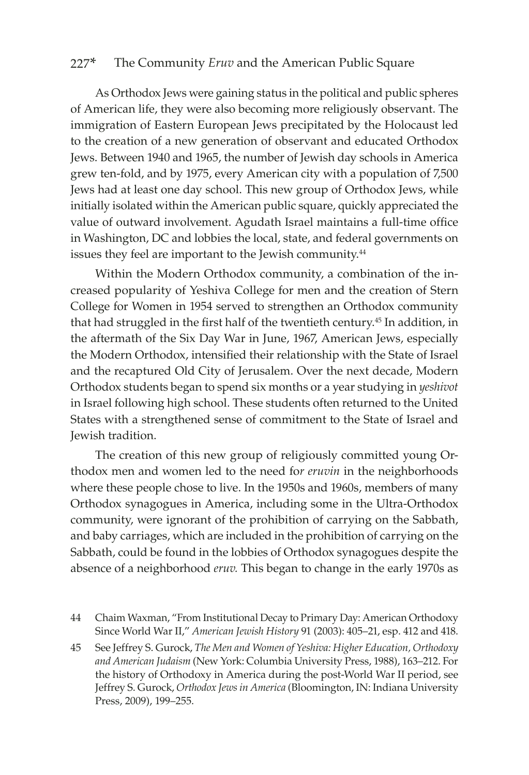As Orthodox Jews were gaining status in the political and public spheres of American life, they were also becoming more religiously observant. The immigration of Eastern European Jews precipitated by the Holocaust led to the creation of a new generation of observant and educated Orthodox Jews. Between 1940 and 1965, the number of Jewish day schools in America grew ten-fold, and by 1975, every American city with a population of 7,500 Jews had at least one day school. This new group of Orthodox Jews, while initially isolated within the American public square, quickly appreciated the value of outward involvement. Agudath Israel maintains a full-time office in Washington, DC and lobbies the local, state, and federal governments on issues they feel are important to the Jewish community.<sup>44</sup>

Within the Modern Orthodox community, a combination of the increased popularity of Yeshiva College for men and the creation of Stern College for Women in 1954 served to strengthen an Orthodox community that had struggled in the first half of the twentieth century.45 In addition, in the aftermath of the Six Day War in June, 1967, American Jews, especially the Modern Orthodox, intensified their relationship with the State of Israel and the recaptured Old City of Jerusalem. Over the next decade, Modern Orthodox students began to spend six months or a year studying in *yeshivot* in Israel following high school. These students often returned to the United States with a strengthened sense of commitment to the State of Israel and Jewish tradition.

The creation of this new group of religiously committed young Orthodox men and women led to the need fo*r eruvin* in the neighborhoods where these people chose to live. In the 1950s and 1960s, members of many Orthodox synagogues in America, including some in the Ultra-Orthodox community, were ignorant of the prohibition of carrying on the Sabbath, and baby carriages, which are included in the prohibition of carrying on the Sabbath, could be found in the lobbies of Orthodox synagogues despite the absence of a neighborhood *eruv.* This began to change in the early 1970s as

- 44 Chaim Waxman, "From Institutional Decay to Primary Day: American Orthodoxy Since World War II," *American Jewish History* 91 (2003): 405–21, esp. 412 and 418.
- 45 See Jeffrey S. Gurock, *The Men and Women of Yeshiva: Higher Education, Orthodoxy and American Judaism* (New York: Columbia University Press, 1988), 163–212. For the history of Orthodoxy in America during the post-World War II period, see Jeffrey S. Gurock, *Orthodox Jews in America* (Bloomington, IN: Indiana University Press, 2009), 199–255.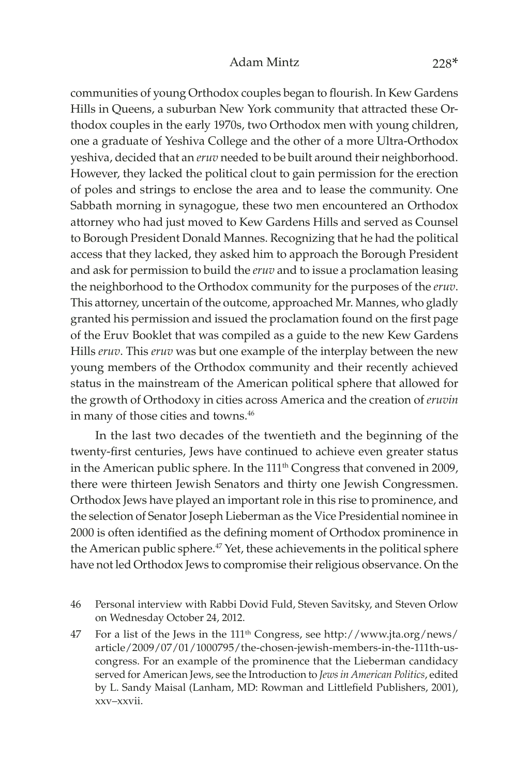### Adam Mintz 228\*

communities of young Orthodox couples began to flourish. In Kew Gardens Hills in Queens, a suburban New York community that attracted these Orthodox couples in the early 1970s, two Orthodox men with young children, one a graduate of Yeshiva College and the other of a more Ultra-Orthodox yeshiva, decided that an *eruv* needed to be built around their neighborhood. However, they lacked the political clout to gain permission for the erection of poles and strings to enclose the area and to lease the community. One Sabbath morning in synagogue, these two men encountered an Orthodox attorney who had just moved to Kew Gardens Hills and served as Counsel to Borough President Donald Mannes. Recognizing that he had the political access that they lacked, they asked him to approach the Borough President and ask for permission to build the *eruv* and to issue a proclamation leasing the neighborhood to the Orthodox community for the purposes of the *eruv*. This attorney, uncertain of the outcome, approached Mr. Mannes, who gladly granted his permission and issued the proclamation found on the first page of the Eruv Booklet that was compiled as a guide to the new Kew Gardens Hills *eruv*. This *eruv* was but one example of the interplay between the new young members of the Orthodox community and their recently achieved status in the mainstream of the American political sphere that allowed for the growth of Orthodoxy in cities across America and the creation of *eruvin* in many of those cities and towns.<sup>46</sup>

In the last two decades of the twentieth and the beginning of the twenty-first centuries, Jews have continued to achieve even greater status in the American public sphere. In the 111<sup>th</sup> Congress that convened in 2009, there were thirteen Jewish Senators and thirty one Jewish Congressmen. Orthodox Jews have played an important role in this rise to prominence, and the selection of Senator Joseph Lieberman as the Vice Presidential nominee in 2000 is often identified as the defining moment of Orthodox prominence in the American public sphere.<sup>47</sup> Yet, these achievements in the political sphere have not led Orthodox Jews to compromise their religious observance. On the

- 46 Personal interview with Rabbi Dovid Fuld, Steven Savitsky, and Steven Orlow on Wednesday October 24, 2012.
- 47 For a list of the Jews in the 111th Congress, see [http://www](http://www.jta.org/news/article/2009/07/01/1000795/the-chosen-jewish-members-in-the-111th-us-congress).jta.org/news/ article/2009/07/01/1000795[/the-chosen-jewish-members-in-the-111th-us](http://www.jta.org/news/article/2009/07/01/1000795/the-chosen-jewish-members-in-the-111th-us-congress)[congress](http://www.jta.org/news/article/2009/07/01/1000795/the-chosen-jewish-members-in-the-111th-us-congress). For an example of the prominence that the Lieberman candidacy served for American Jews, see the Introduction to *Jewsin American Politics*, edited by L. Sandy Maisal (Lanham, MD: Rowman and Littlefield Publishers, 2001), xxv–xxvii.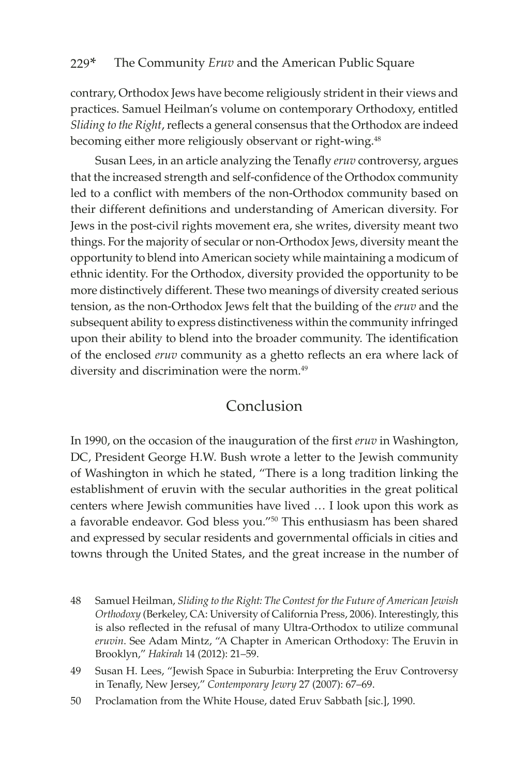contrary, Orthodox Jews have become religiously strident in their views and practices. Samuel Heilman's volume on contemporary Orthodoxy, entitled *Sliding to the Right*, reflects a general consensus that the Orthodox are indeed becoming either more religiously observant or right-wing.<sup>48</sup>

Susan Lees, in an article analyzing the Tenafly *eruv* controversy, argues that the increased strength and self-confidence of the Orthodox community led to a conflict with members of the non-Orthodox community based on their different definitions and understanding of American diversity. For Jews in the post-civil rights movement era, she writes, diversity meant two things. For the majority of secular or non-Orthodox Jews, diversity meant the opportunity to blend into American society while maintaining a modicum of ethnic identity. For the Orthodox, diversity provided the opportunity to be more distinctively different. These two meanings of diversity created serious tension, as the non-Orthodox Jews felt that the building of the *eruv* and the subsequent ability to express distinctiveness within the community infringed upon their ability to blend into the broader community. The identification of the enclosed *eruv* community as a ghetto reflects an era where lack of diversity and discrimination were the norm.<sup>49</sup>

### Conclusion

In 1990, on the occasion of the inauguration of the first *eruv* in Washington, DC, President George H.W. Bush wrote a letter to the Jewish community of Washington in which he stated, "There is a long tradition linking the establishment of eruvin with the secular authorities in the great political centers where Jewish communities have lived … I look upon this work as a favorable endeavor. God bless you."50 This enthusiasm has been shared and expressed by secular residents and governmental officials in cities and towns through the United States, and the great increase in the number of

<sup>48</sup> Samuel Heilman, *Sliding to the Right: The Contest for the Future of American Jewish Orthodoxy* (Berkeley, CA: University of California Press, 2006). Interestingly, this is also reflected in the refusal of many Ultra-Orthodox to utilize communal *eruvin*. See Adam Mintz, "A Chapter in American Orthodoxy: The Eruvin in Brooklyn," *Hakirah* 14 (2012): 21–59.

<sup>49</sup> Susan H. Lees, "Jewish Space in Suburbia: Interpreting the Eruv Controversy in Tenafly, New Jersey," *Contemporary Jewry* 27 (2007): 67–69.

<sup>50</sup> Proclamation from the White House, dated Eruv Sabbath [sic.], 1990.